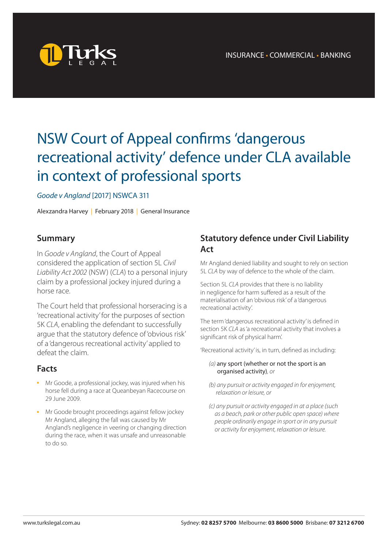

# NSW Court of Appeal confirms 'dangerous recreational activity' defence under CLA available in context of professional sports

#### *Goode v Angland* [2017] NSWCA 311

Alexzandra Harvey | February 2018 | General Insurance

#### **Summary**

In *Goode v Angland*, the Court of Appeal considered the application of section 5L *Civil Liability Act 2002* (NSW) (*CLA*) to a personal injury claim by a professional jockey injured during a horse race.

The Court held that professional horseracing is a 'recreational activity' for the purposes of section 5K *CLA*, enabling the defendant to successfully argue that the statutory defence of 'obvious risk' of a 'dangerous recreational activity' applied to defeat the claim.

#### **Facts**

- Mr Goode, a professional jockey, was injured when his horse fell during a race at Queanbeyan Racecourse on 29 June 2009.
- **n** Mr Goode brought proceedings against fellow jockey Mr Angland, alleging the fall was caused by Mr Angland's negligence in veering or changing direction during the race, when it was unsafe and unreasonable to do so.

## **Statutory defence under Civil Liability Act**

Mr Angland denied liability and sought to rely on section 5L *CLA* by way of defence to the whole of the claim.

Section 5L *CLA* provides that there is no liability in negligence for harm suffered as a result of the materialisation of an 'obvious risk' of a 'dangerous recreational activity'.

The term 'dangerous recreational activity' is defined in section 5K *CLA* as 'a recreational activity that involves a significant risk of physical harm'.

'Recreational activity' is, in turn, defined as including:

#### *(a)* any sport (whether or not the sport is an organised activity)*, or*

- *(b) any pursuit or activity engaged in for enjoyment, relaxation or leisure, or*
- *(c) any pursuit or activity engaged in at a place (such as a beach, park or other public open space) where people ordinarily engage in sport or in any pursuit or activity for enjoyment, relaxation or leisure.*